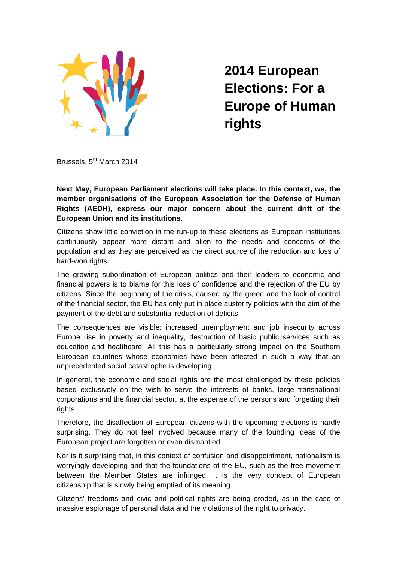

**2014 European Elections: For a Europe of Human rights** 

Brussels, 5<sup>th</sup> March 2014

**Next May, European Parliament elections will take place. In this context, we, the member organisations of the European Association for the Defense of Human Rights (AEDH), express our major concern about the current drift of the European Union and its institutions.** 

Citizens show little conviction in the run-up to these elections as European institutions continuously appear more distant and alien to the needs and concerns of the population and as they are perceived as the direct source of the reduction and loss of hard-won rights.

The growing subordination of European politics and their leaders to economic and financial powers is to blame for this loss of confidence and the rejection of the EU by citizens. Since the beginning of the crisis, caused by the greed and the lack of control of the financial sector, the EU has only put in place austerity policies with the aim of the payment of the debt and substantial reduction of deficits.

The consequences are visible: increased unemployment and job insecurity across Europe rise in poverty and inequality, destruction of basic public services such as education and healthcare. All this has a particularly strong impact on the Southern European countries whose economies have been affected in such a way that an unprecedented social catastrophe is developing.

In general, the economic and social rights are the most challenged by these policies based exclusively on the wish to serve the interests of banks, large transnational corporations and the financial sector, at the expense of the persons and forgetting their rights.

Therefore, the disaffection of European citizens with the upcoming elections is hardly surprising. They do not feel involved because many of the founding ideas of the European project are forgotten or even dismantled.

Nor is it surprising that, in this context of confusion and disappointment, nationalism is worryingly developing and that the foundations of the EU, such as the free movement between the Member States are infringed. It is the very concept of European citizenship that is slowly being emptied of its meaning.

Citizens' freedoms and civic and political rights are being eroded, as in the case of massive espionage of personal data and the violations of the right to privacy.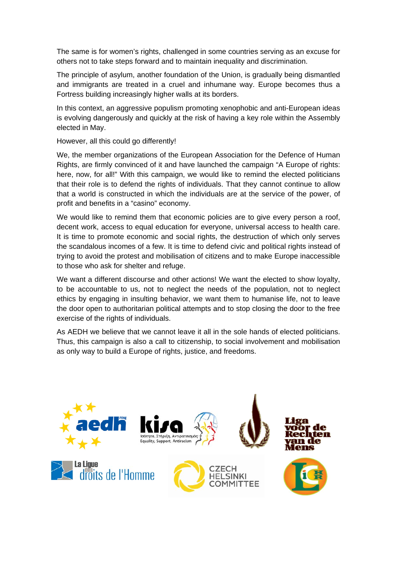The same is for women's rights, challenged in some countries serving as an excuse for others not to take steps forward and to maintain inequality and discrimination.

The principle of asylum, another foundation of the Union, is gradually being dismantled and immigrants are treated in a cruel and inhumane way. Europe becomes thus a Fortress building increasingly higher walls at its borders.

In this context, an aggressive populism promoting xenophobic and anti-European ideas is evolving dangerously and quickly at the risk of having a key role within the Assembly elected in May.

However, all this could go differently!

We, the member organizations of the European Association for the Defence of Human Rights, are firmly convinced of it and have launched the campaign "A Europe of rights: here, now, for all!" With this campaign, we would like to remind the elected politicians that their role is to defend the rights of individuals. That they cannot continue to allow that a world is constructed in which the individuals are at the service of the power, of profit and benefits in a "casino" economy.

We would like to remind them that economic policies are to give every person a roof, decent work, access to equal education for everyone, universal access to health care. It is time to promote economic and social rights, the destruction of which only serves the scandalous incomes of a few. It is time to defend civic and political rights instead of trying to avoid the protest and mobilisation of citizens and to make Europe inaccessible to those who ask for shelter and refuge.

We want a different discourse and other actions! We want the elected to show loyalty, to be accountable to us, not to neglect the needs of the population, not to neglect ethics by engaging in insulting behavior, we want them to humanise life, not to leave the door open to authoritarian political attempts and to stop closing the door to the free exercise of the rights of individuals.

As AEDH we believe that we cannot leave it all in the sole hands of elected politicians. Thus, this campaign is also a call to citizenship, to social involvement and mobilisation as only way to build a Europe of rights, justice, and freedoms.